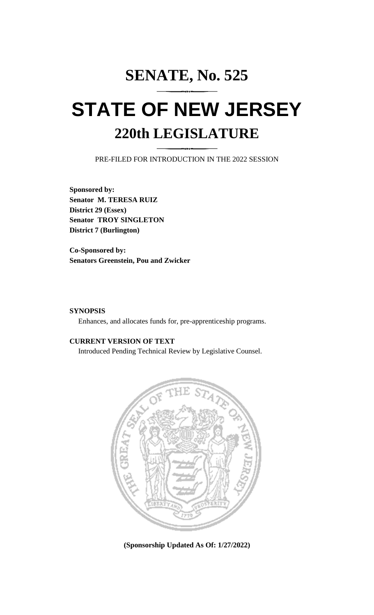## **SENATE, No. 525 STATE OF NEW JERSEY 220th LEGISLATURE**

PRE-FILED FOR INTRODUCTION IN THE 2022 SESSION

**Sponsored by: Senator M. TERESA RUIZ District 29 (Essex) Senator TROY SINGLETON District 7 (Burlington)**

**Co-Sponsored by: Senators Greenstein, Pou and Zwicker**

## **SYNOPSIS**

Enhances, and allocates funds for, pre-apprenticeship programs.

## **CURRENT VERSION OF TEXT**

Introduced Pending Technical Review by Legislative Counsel.



**(Sponsorship Updated As Of: 1/27/2022)**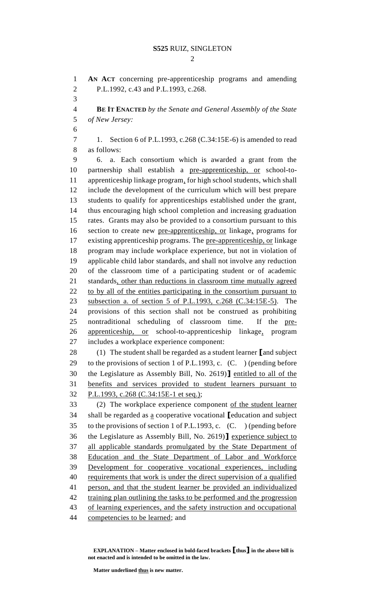$\mathcal{D}$ 

 **AN ACT** concerning pre-apprenticeship programs and amending P.L.1992, c.43 and P.L.1993, c.268. **BE IT ENACTED** *by the Senate and General Assembly of the State of New Jersey:* 1. Section 6 of P.L.1993, c.268 (C.34:15E-6) is amended to read as follows: 6. a. Each consortium which is awarded a grant from the partnership shall establish a pre-apprenticeship, or school-to- apprenticeship linkage program, for high school students, which shall include the development of the curriculum which will best prepare students to qualify for apprenticeships established under the grant, thus encouraging high school completion and increasing graduation rates. Grants may also be provided to a consortium pursuant to this section to create new pre-apprenticeship, or linkage, programs for existing apprenticeship programs. The pre-apprenticeship, or linkage program may include workplace experience, but not in violation of applicable child labor standards, and shall not involve any reduction of the classroom time of a participating student or of academic standards, other than reductions in classroom time mutually agreed 22 to by all of the entities participating in the consortium pursuant to subsection a. of section 5 of P.L.1993, c.268 (C.34:15E-5). The provisions of this section shall not be construed as prohibiting nontraditional scheduling of classroom time. If the pre- apprenticeship, or school-to-apprenticeship linkage, program includes a workplace experience component: (1) The student shall be regarded as a student learner **[**and subject to the provisions of section 1 of P.L.1993, c. (C. ) (pending before the Legislature as Assembly Bill, No. 2619)**]** entitled to all of the benefits and services provided to student learners pursuant to P.L.1993, c.268 (C.34:15E-1 et seq.); (2) The workplace experience component of the student learner shall be regarded as a cooperative vocational **[**education and subject to the provisions of section 1 of P.L.1993, c. (C. ) (pending before the Legislature as Assembly Bill, No. 2619)**]** experience subject to all applicable standards promulgated by the State Department of Education and the State Department of Labor and Workforce Development for cooperative vocational experiences, including requirements that work is under the direct supervision of a qualified person, and that the student learner be provided an individualized training plan outlining the tasks to be performed and the progression of learning experiences, and the safety instruction and occupational competencies to be learned; and

**EXPLANATION – Matter enclosed in bold-faced brackets [thus] in the above bill is not enacted and is intended to be omitted in the law.**

**Matter underlined thus is new matter.**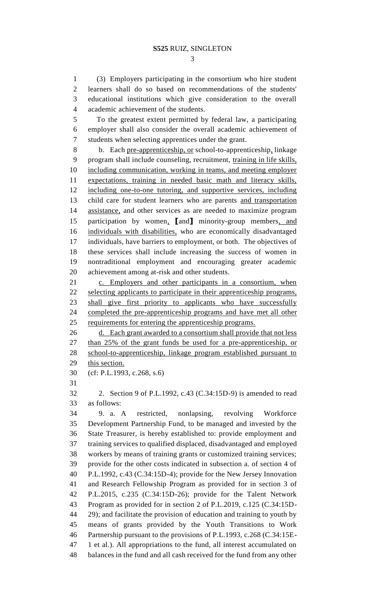(3) Employers participating in the consortium who hire student learners shall do so based on recommendations of the students' educational institutions which give consideration to the overall academic achievement of the students.

 To the greatest extent permitted by federal law, a participating employer shall also consider the overall academic achievement of students when selecting apprentices under the grant.

 b. Each pre-apprenticeship, or school-to-apprenticeship, linkage program shall include counseling, recruitment, training in life skills, including communication, working in teams, and meeting employer expectations, training in needed basic math and literacy skills, including one-to-one tutoring, and supportive services, including child care for student learners who are parents and transportation assistance, and other services as are needed to maximize program participation by women, **[**and**]** minority-group members, and individuals with disabilities, who are economically disadvantaged individuals, have barriers to employment, or both. The objectives of these services shall include increasing the success of women in nontraditional employment and encouraging greater academic achievement among at-risk and other students.

 c. Employers and other participants in a consortium, when selecting applicants to participate in their apprenticeship programs, shall give first priority to applicants who have successfully completed the pre-apprenticeship programs and have met all other 25 requirements for entering the apprenticeship programs.

26 d. Each grant awarded to a consortium shall provide that not less than 25% of the grant funds be used for a pre-apprenticeship, or school-to-apprenticeship, linkage program established pursuant to this section.

(cf: P.L.1993, c.268, s.6)

 2. Section 9 of P.L.1992, c.43 (C.34:15D-9) is amended to read as follows:

 9. a. A restricted, nonlapsing, revolving Workforce Development Partnership Fund, to be managed and invested by the State Treasurer, is hereby established to: provide employment and training services to qualified displaced, disadvantaged and employed workers by means of training grants or customized training services; provide for the other costs indicated in subsection a. of section 4 of P.L.1992, c.43 (C.34:15D-4); provide for the New Jersey Innovation and Research Fellowship Program as provided for in section 3 of P.L.2015, c.235 (C.34:15D-26); provide for the Talent Network Program as provided for in section 2 of P.L.2019, c.125 (C.34:15D-44 29); and facilitate the provision of education and training to youth by means of grants provided by the Youth Transitions to Work Partnership pursuant to the provisions of P.L.1993, c.268 (C.34:15E- 1 et al.). All appropriations to the fund, all interest accumulated on balances in the fund and all cash received for the fund from any other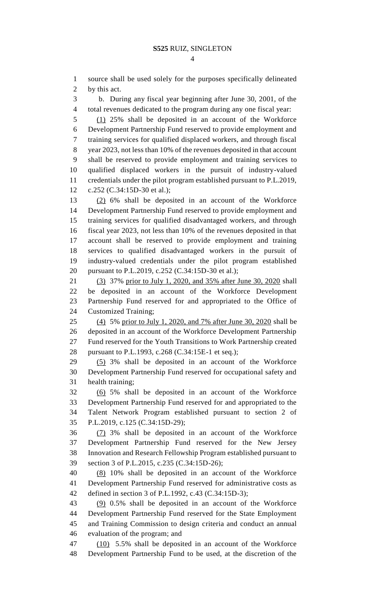source shall be used solely for the purposes specifically delineated by this act.

 b. During any fiscal year beginning after June 30, 2001, of the total revenues dedicated to the program during any one fiscal year:

 (1) 25% shall be deposited in an account of the Workforce Development Partnership Fund reserved to provide employment and training services for qualified displaced workers, and through fiscal year 2023, not less than 10% of the revenues deposited in that account shall be reserved to provide employment and training services to qualified displaced workers in the pursuit of industry-valued credentials under the pilot program established pursuant to P.L.2019, c.252 (C.34:15D-30 et al.);

 (2) 6% shall be deposited in an account of the Workforce Development Partnership Fund reserved to provide employment and training services for qualified disadvantaged workers, and through fiscal year 2023, not less than 10% of the revenues deposited in that account shall be reserved to provide employment and training services to qualified disadvantaged workers in the pursuit of industry-valued credentials under the pilot program established pursuant to P.L.2019, c.252 (C.34:15D-30 et al.);

 (3) 37% prior to July 1, 2020, and 35% after June 30, 2020 shall be deposited in an account of the Workforce Development Partnership Fund reserved for and appropriated to the Office of Customized Training;

 (4) 5% prior to July 1, 2020, and 7% after June 30, 2020 shall be deposited in an account of the Workforce Development Partnership Fund reserved for the Youth Transitions to Work Partnership created pursuant to P.L.1993, c.268 (C.34:15E-1 et seq.);

 (5) 3% shall be deposited in an account of the Workforce Development Partnership Fund reserved for occupational safety and health training;

 (6) 5% shall be deposited in an account of the Workforce Development Partnership Fund reserved for and appropriated to the Talent Network Program established pursuant to section 2 of P.L.2019, c.125 (C.34:15D-29);

 (7) 3% shall be deposited in an account of the Workforce Development Partnership Fund reserved for the New Jersey Innovation and Research Fellowship Program established pursuant to section 3 of P.L.2015, c.235 (C.34:15D-26);

 (8) 10% shall be deposited in an account of the Workforce Development Partnership Fund reserved for administrative costs as defined in section 3 of P.L.1992, c.43 (C.34:15D-3);

 (9) 0.5% shall be deposited in an account of the Workforce Development Partnership Fund reserved for the State Employment and Training Commission to design criteria and conduct an annual evaluation of the program; and

47 (10) 5.5% shall be deposited in an account of the Workforce Development Partnership Fund to be used, at the discretion of the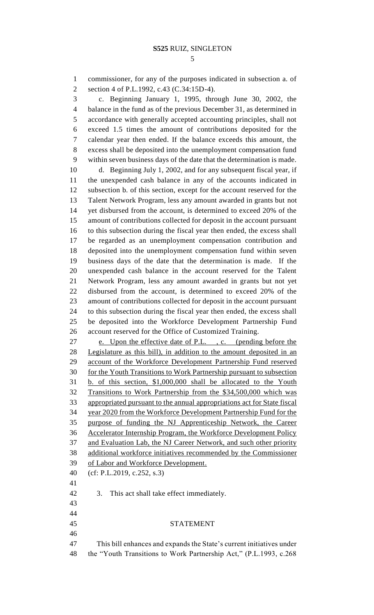commissioner, for any of the purposes indicated in subsection a. of section 4 of P.L.1992, c.43 (C.34:15D-4).

 c. Beginning January 1, 1995, through June 30, 2002, the balance in the fund as of the previous December 31, as determined in accordance with generally accepted accounting principles, shall not exceed 1.5 times the amount of contributions deposited for the calendar year then ended. If the balance exceeds this amount, the excess shall be deposited into the unemployment compensation fund within seven business days of the date that the determination is made.

 d. Beginning July 1, 2002, and for any subsequent fiscal year, if the unexpended cash balance in any of the accounts indicated in subsection b. of this section, except for the account reserved for the Talent Network Program, less any amount awarded in grants but not yet disbursed from the account, is determined to exceed 20% of the amount of contributions collected for deposit in the account pursuant to this subsection during the fiscal year then ended, the excess shall be regarded as an unemployment compensation contribution and deposited into the unemployment compensation fund within seven business days of the date that the determination is made. If the unexpended cash balance in the account reserved for the Talent Network Program, less any amount awarded in grants but not yet disbursed from the account, is determined to exceed 20% of the amount of contributions collected for deposit in the account pursuant to this subsection during the fiscal year then ended, the excess shall be deposited into the Workforce Development Partnership Fund account reserved for the Office of Customized Training.

 e. Upon the effective date of P.L. , c. (pending before the Legislature as this bill), in addition to the amount deposited in an account of the Workforce Development Partnership Fund reserved for the Youth Transitions to Work Partnership pursuant to subsection b. of this section, \$1,000,000 shall be allocated to the Youth Transitions to Work Partnership from the \$34,500,000 which was appropriated pursuant to the annual appropriations act for State fiscal year 2020 from the Workforce Development Partnership Fund for the purpose of funding the NJ Apprenticeship Network, the Career Accelerator Internship Program, the Workforce Development Policy and Evaluation Lab, the NJ Career Network, and such other priority additional workforce initiatives recommended by the Commissioner of Labor and Workforce Development. (cf: P.L.2019, c.252, s.3) 3. This act shall take effect immediately.

## STATEMENT

 This bill enhances and expands the State's current initiatives under the "Youth Transitions to Work Partnership Act," (P.L.1993, c.268